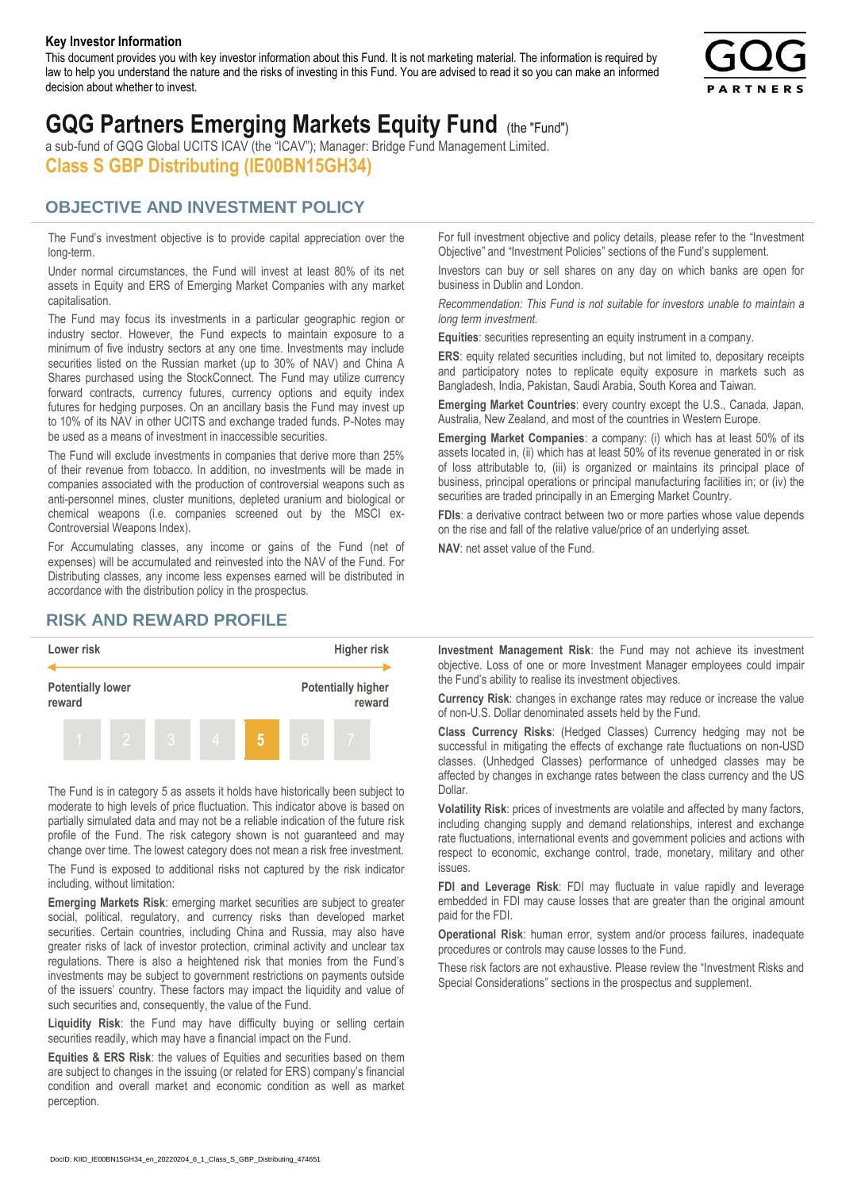#### **Key Investor Information**

This document provides you with key investor information about this Fund. It is not marketing material. The information is required by law to help you understand the nature and the risks of investing in this Fund. You are advised to read it so you can make an informed decision about whether to invest.



# **GQG Partners Emerging Markets Equity Fund** (the "Fund")

a sub-fund of GQG Global UCITS ICAV (the "ICAV"); Manager: Bridge Fund Management Limited. **Class S GBP Distributing (IE00BN15GH34)**

#### **OBJECTIVE AND INVESTMENT POLICY**

The Fund's investment objective is to provide capital appreciation over the long-term.

Under normal circumstances, the Fund will invest at least 80% of its net assets in Equity and ERS of Emerging Market Companies with any market capitalisation.

The Fund may focus its investments in a particular geographic region or industry sector. However, the Fund expects to maintain exposure to a minimum of five industry sectors at any one time. Investments may include securities listed on the Russian market (up to 30% of NAV) and China A Shares purchased using the StockConnect. The Fund may utilize currency forward contracts, currency futures, currency options and equity index futures for hedging purposes. On an ancillary basis the Fund may invest up to 10% of its NAV in other UCITS and exchange traded funds. P-Notes may be used as a means of investment in inaccessible securities.

The Fund will exclude investments in companies that derive more than 25% of their revenue from tobacco. In addition, no investments will be made in companies associated with the production of controversial weapons such as anti-personnel mines, cluster munitions, depleted uranium and biological or chemical weapons (i.e. companies screened out by the MSCI ex-Controversial Weapons Index).

For Accumulating classes, any income or gains of the Fund (net of expenses) will be accumulated and reinvested into the NAV of the Fund. For Distributing classes, any income less expenses earned will be distributed in accordance with the distribution policy in the prospectus.

### **RISK AND REWARD PROFILE**



The Fund is in category 5 as assets it holds have historically been subject to moderate to high levels of price fluctuation. This indicator above is based on partially simulated data and may not be a reliable indication of the future risk profile of the Fund. The risk category shown is not guaranteed and may change over time. The lowest category does not mean a risk free investment.

The Fund is exposed to additional risks not captured by the risk indicator including, without limitation:

**Emerging Markets Risk**: emerging market securities are subject to greater social, political, regulatory, and currency risks than developed market securities. Certain countries, including China and Russia, may also have greater risks of lack of investor protection, criminal activity and unclear tax regulations. There is also a heightened risk that monies from the Fund's investments may be subject to government restrictions on payments outside of the issuers' country. These factors may impact the liquidity and value of such securities and, consequently, the value of the Fund.

**Liquidity Risk**: the Fund may have difficulty buying or selling certain securities readily, which may have a financial impact on the Fund.

**Equities & ERS Risk**: the values of Equities and securities based on them are subject to changes in the issuing (or related for ERS) company's financial condition and overall market and economic condition as well as market perception.

For full investment objective and policy details, please refer to the "Investment Objective" and "Investment Policies" sections of the Fund's supplement.

Investors can buy or sell shares on any day on which banks are open for business in Dublin and London.

*Recommendation: This Fund is not suitable for investors unable to maintain a long term investment.*

**Equities**: securities representing an equity instrument in a company.

**ERS:** equity related securities including, but not limited to, depositary receipts and participatory notes to replicate equity exposure in markets such as Bangladesh, India, Pakistan, Saudi Arabia, South Korea and Taiwan.

**Emerging Market Countries**: every country except the U.S., Canada, Japan, Australia, New Zealand, and most of the countries in Western Europe.

**Emerging Market Companies**: a company: (i) which has at least 50% of its assets located in, (ii) which has at least 50% of its revenue generated in or risk of loss attributable to, (iii) is organized or maintains its principal place of business, principal operations or principal manufacturing facilities in; or (iv) the securities are traded principally in an Emerging Market Country.

**FDIs**: a derivative contract between two or more parties whose value depends on the rise and fall of the relative value/price of an underlying asset.

**NAV**: net asset value of the Fund.

**Investment Management Risk**: the Fund may not achieve its investment objective. Loss of one or more Investment Manager employees could impair the Fund's ability to realise its investment objectives.

**Currency Risk**: changes in exchange rates may reduce or increase the value of non-U.S. Dollar denominated assets held by the Fund.

**Class Currency Risks**: (Hedged Classes) Currency hedging may not be successful in mitigating the effects of exchange rate fluctuations on non-USD classes. (Unhedged Classes) performance of unhedged classes may be affected by changes in exchange rates between the class currency and the US Dollar.

**Volatility Risk**: prices of investments are volatile and affected by many factors, including changing supply and demand relationships, interest and exchange rate fluctuations, international events and government policies and actions with respect to economic, exchange control, trade, monetary, military and other issues.

**FDI and Leverage Risk**: FDI may fluctuate in value rapidly and leverage embedded in FDI may cause losses that are greater than the original amount paid for the FDI.

**Operational Risk**: human error, system and/or process failures, inadequate procedures or controls may cause losses to the Fund.

These risk factors are not exhaustive. Please review the "Investment Risks and Special Considerations" sections in the prospectus and supplement.